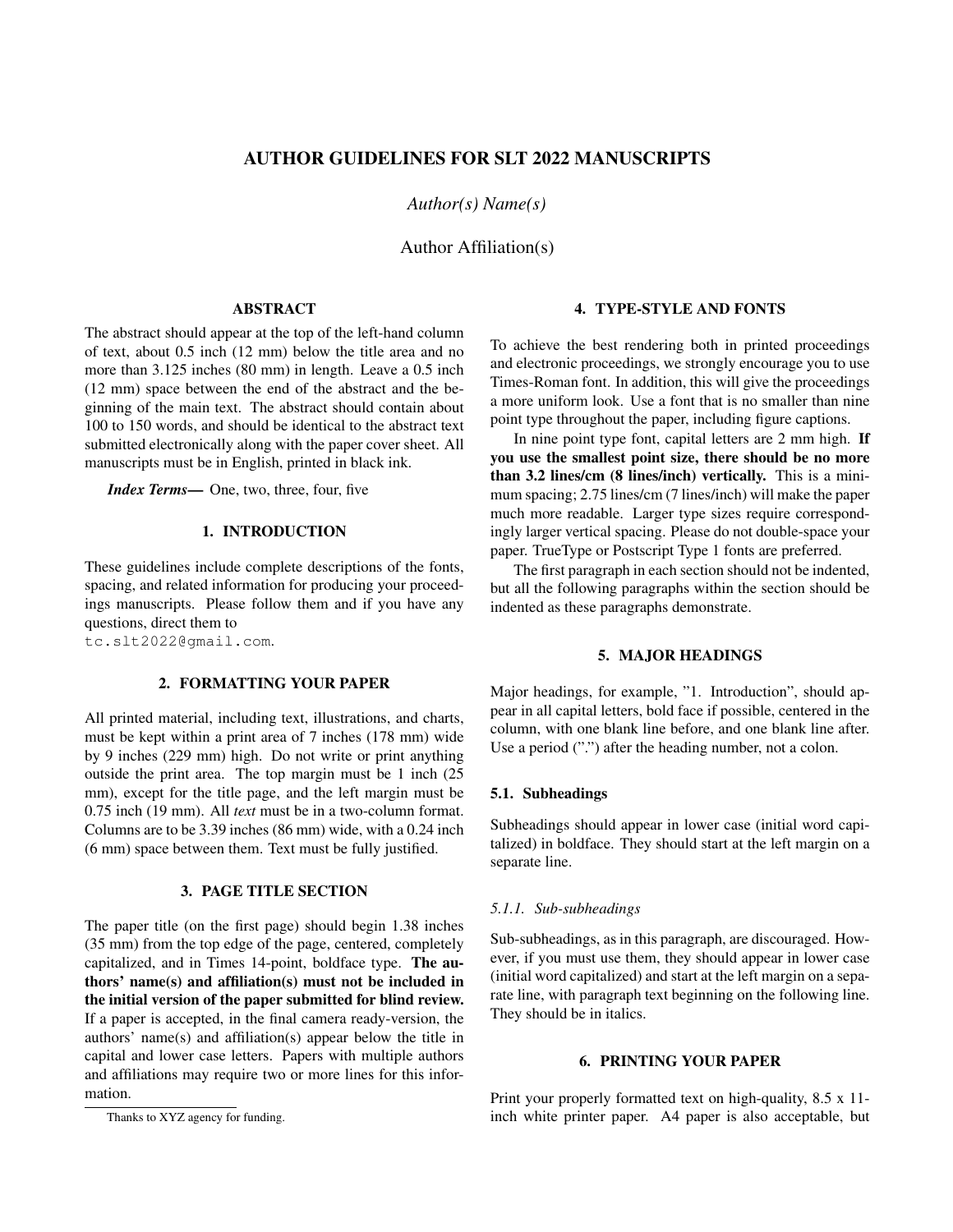# AUTHOR GUIDELINES FOR SLT 2022 MANUSCRIPTS

*Author(s) Name(s)*

Author Affiliation(s)

## ABSTRACT

The abstract should appear at the top of the left-hand column of text, about 0.5 inch (12 mm) below the title area and no more than 3.125 inches (80 mm) in length. Leave a 0.5 inch (12 mm) space between the end of the abstract and the beginning of the main text. The abstract should contain about 100 to 150 words, and should be identical to the abstract text submitted electronically along with the paper cover sheet. All manuscripts must be in English, printed in black ink.

*Index Terms*— One, two, three, four, five

# 1. INTRODUCTION

These guidelines include complete descriptions of the fonts, spacing, and related information for producing your proceedings manuscripts. Please follow them and if you have any questions, direct them to

tc.slt2022@gmail.com.

### 2. FORMATTING YOUR PAPER

All printed material, including text, illustrations, and charts, must be kept within a print area of 7 inches (178 mm) wide by 9 inches (229 mm) high. Do not write or print anything outside the print area. The top margin must be 1 inch (25 mm), except for the title page, and the left margin must be 0.75 inch (19 mm). All *text* must be in a two-column format. Columns are to be 3.39 inches (86 mm) wide, with a 0.24 inch (6 mm) space between them. Text must be fully justified.

# 3. PAGE TITLE SECTION

The paper title (on the first page) should begin 1.38 inches (35 mm) from the top edge of the page, centered, completely capitalized, and in Times 14-point, boldface type. The authors' name(s) and affiliation(s) must not be included in the initial version of the paper submitted for blind review. If a paper is accepted, in the final camera ready-version, the authors' name(s) and affiliation(s) appear below the title in capital and lower case letters. Papers with multiple authors and affiliations may require two or more lines for this information.

### 4. TYPE-STYLE AND FONTS

To achieve the best rendering both in printed proceedings and electronic proceedings, we strongly encourage you to use Times-Roman font. In addition, this will give the proceedings a more uniform look. Use a font that is no smaller than nine point type throughout the paper, including figure captions.

In nine point type font, capital letters are 2 mm high. If you use the smallest point size, there should be no more than 3.2 lines/cm (8 lines/inch) vertically. This is a minimum spacing; 2.75 lines/cm (7 lines/inch) will make the paper much more readable. Larger type sizes require correspondingly larger vertical spacing. Please do not double-space your paper. TrueType or Postscript Type 1 fonts are preferred.

The first paragraph in each section should not be indented, but all the following paragraphs within the section should be indented as these paragraphs demonstrate.

### 5. MAJOR HEADINGS

Major headings, for example, "1. Introduction", should appear in all capital letters, bold face if possible, centered in the column, with one blank line before, and one blank line after. Use a period ("'.") after the heading number, not a colon.

# 5.1. Subheadings

Subheadings should appear in lower case (initial word capitalized) in boldface. They should start at the left margin on a separate line.

#### *5.1.1. Sub-subheadings*

Sub-subheadings, as in this paragraph, are discouraged. However, if you must use them, they should appear in lower case (initial word capitalized) and start at the left margin on a separate line, with paragraph text beginning on the following line. They should be in italics.

# 6. PRINTING YOUR PAPER

Print your properly formatted text on high-quality, 8.5 x 11 inch white printer paper. A4 paper is also acceptable, but

Thanks to XYZ agency for funding.